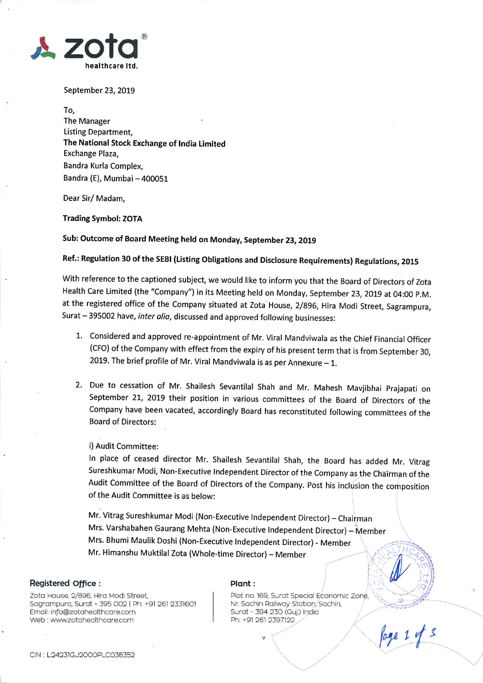

September 23, 2019

To,

The Manager Listing Department, The National Stock Exchange of lndia Limited Exchange Plaza, Bandra Kurla Complex, Bandra (E), Mumbai - 400051

Dear Sir/ Madam,

### Trading Symbol: ZOTA

Sub: Outcome of Board Meeting held on Monday, September 23, 2019

Ref.: Regulation 30 of the sEBl (Listing obligations and Disclosure Requirements) Regulations, 201s

With reference to the captioned subject, we would like to inform you that the Board of Directors of Zota Health care Limited (the "company") in its Meeting held on Monday, september 23, 2019 at 04:00 p.M. at the registered office of the company situated at zota House, 2/g96, Hira Modi street, sagrampura, Surat - 395002 have, inter alia, discussed and approved following businesses:

- 1. Considered and approved re-appointment of Mr. Viral Mandviwala as the Chief Financial Officer (CFo) of the Company with effect from the expiry of his present term that is from September 30, 2019. The brief profile of Mr. Viral Mandviwala is as per Annexure  $-1$ .
- 2. Due to cessation of Mr. shailesh sevantilal shah and Mr. Mahesh Mavjibhai prajapati on September 21, 2019 their position in various committees of the Board of Directors of the Company have been vacated, accordingly Board has reconstituted following committees of the Board of Directors:

## i) Audit Committee:

ln place of ceased director Mr. shailesh sevantilal shah, the Board has added Mr. vitrag Sureshkumar Modi, Non-Executive lndependent Director of the Company as\_the Chairman of the Audit Committee of the Board of Directors of the Company. Post his inclusion the composition of the Audit Committee is as below:

Mr. Vitrag Sureshkumar Modi (Non-Executive Independent Director) – Chairmar<br>. Mrs. Varshabahen Gaurang Mehta (Non-Executive Independent Director) - Member Mrs. Bhumi Maulik Doshi (Non-Executive lndependent Director) - Member Mr. Himanshu Muktilal Zota (Whole-time Director) - Member

# Registered Office :  $\blacksquare$

L

Zoto House, 2/896, Hiro Modi Street Sogrompurq, Surot - 395 OO2 | Ph: +91 261 2331601 Email: info@zotahealthcare.com Web : www.zotahealthcare.com

Plot no. 169, Surat Special Economic Zone, Nr. Sachin Railway Station, Sachin, Surat - 394 230 (Guj.) India Ph: +91 261 2397122

 $\sum_{i=1}^{\infty}$ 

loge 1 of 3

CIN : L24231GJ2000PLC038352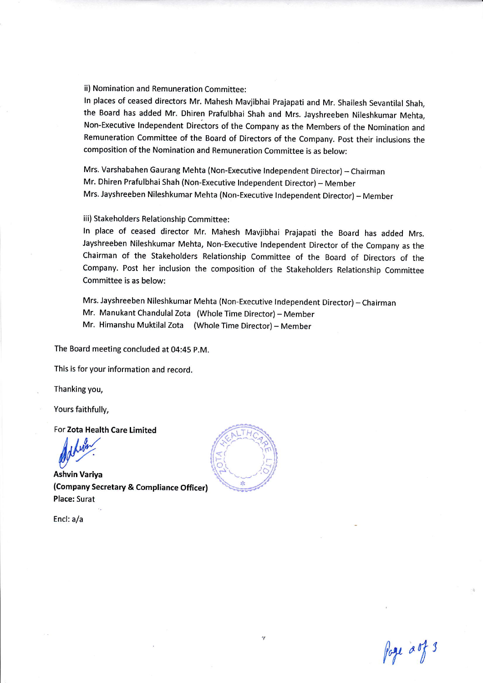ii) Nomination and Remuneration Committee:

ln places of ceased directors Mr. Mahesh Mavjibhai Prajapati and Mr. Shailesh Sevantilal Shah, the Board has added Mr. Dhiren Prafulbhai Shah and Mrs. Jayshreeben Nileshkumar Mehta, Non-Executive Independent Directors of the Company as the Members of the Nomination and Remuneration Committee of the Board of Directors of the Company. Post their inclusions the composition of the Nomination and Remuneration Committee is as below:

Mrs. Varshabahen Gaurang Mehta (Non-Executive Independent Director) - Chairman Mr. Dhiren Prafulbhai Shah (Non-Executive lndependent Director)- Member Mrs. Jayshreeben Nileshkumar Mehta (Non-Executive Independent Director) - Member

iii) Stakeholders Relationship Committee:

ln place of ceased director Mr. Mahesh Mavjibhai prajapati the Board has added Mrs. Jayshreeben Nileshkumar Mehta, Non-Executive lndependent Director of the company as the Chairman of the Stakeholders Relationship Committee of the Board of Directors of the Company. Post her inclusion the composition of the Stakeholders Relationship Committee Committee is as below:

Mrs. Jayshreeben Nileshkumar Mehta (Non-Executive Independent Director) - Chairman Mr. Manukant Chandulal Zota (Whole Time Director)- Member

Mr. Himanshu Muktilal Zota (Whole Time Director) - Member

The Board meeting concluded at 04:45 p.M.

This is for your information and record.

Thanking you,

Yours faithfully,

For Zota Health Care Limited

dubin.

Ashvin Variya (Company Secretary & Compliance Officer) Place: Surat

Encl: a/a



foge aof 3